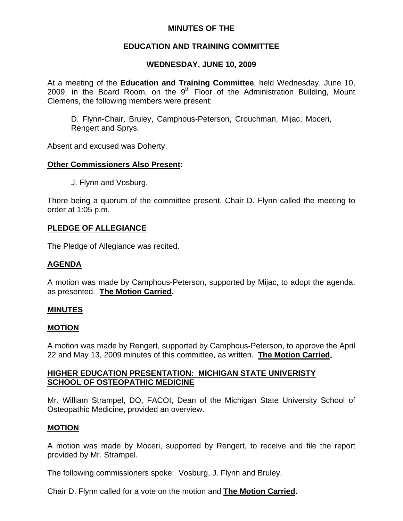# **MINUTES OF THE**

# **EDUCATION AND TRAINING COMMITTEE**

# **WEDNESDAY, JUNE 10, 2009**

At a meeting of the **Education and Training Committee**, held Wednesday, June 10, 2009, in the Board Room, on the  $9<sup>th</sup>$  Floor of the Administration Building, Mount Clemens, the following members were present:

D. Flynn-Chair, Bruley, Camphous-Peterson, Crouchman, Mijac, Moceri, Rengert and Sprys.

Absent and excused was Doherty.

### **Other Commissioners Also Present:**

J. Flynn and Vosburg.

There being a quorum of the committee present, Chair D. Flynn called the meeting to order at 1:05 p.m.

### **PLEDGE OF ALLEGIANCE**

The Pledge of Allegiance was recited.

### **AGENDA**

A motion was made by Camphous-Peterson, supported by Mijac, to adopt the agenda, as presented. **The Motion Carried.** 

#### **MINUTES**

#### **MOTION**

A motion was made by Rengert, supported by Camphous-Peterson, to approve the April 22 and May 13, 2009 minutes of this committee, as written. **The Motion Carried.** 

## **HIGHER EDUCATION PRESENTATION: MICHIGAN STATE UNIVERISTY SCHOOL OF OSTEOPATHIC MEDICINE**

Mr. William Strampel, DO, FACOI, Dean of the Michigan State University School of Osteopathic Medicine, provided an overview.

#### **MOTION**

A motion was made by Moceri, supported by Rengert, to receive and file the report provided by Mr. Strampel.

The following commissioners spoke: Vosburg, J. Flynn and Bruley.

Chair D. Flynn called for a vote on the motion and **The Motion Carried.**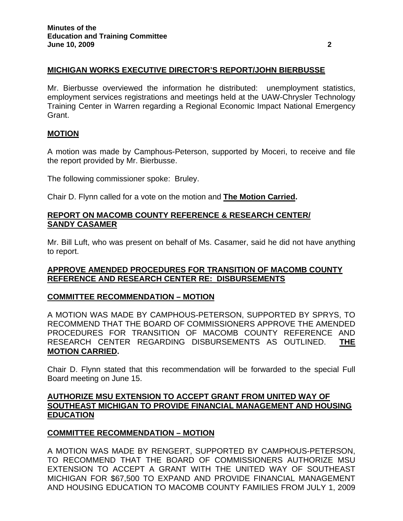## **MICHIGAN WORKS EXECUTIVE DIRECTOR'S REPORT/JOHN BIERBUSSE**

Mr. Bierbusse overviewed the information he distributed: unemployment statistics, employment services registrations and meetings held at the UAW-Chrysler Technology Training Center in Warren regarding a Regional Economic Impact National Emergency Grant.

### **MOTION**

A motion was made by Camphous-Peterson, supported by Moceri, to receive and file the report provided by Mr. Bierbusse.

The following commissioner spoke: Bruley.

Chair D. Flynn called for a vote on the motion and **The Motion Carried.** 

#### **REPORT ON MACOMB COUNTY REFERENCE & RESEARCH CENTER/ SANDY CASAMER**

Mr. Bill Luft, who was present on behalf of Ms. Casamer, said he did not have anything to report.

### **APPROVE AMENDED PROCEDURES FOR TRANSITION OF MACOMB COUNTY REFERENCE AND RESEARCH CENTER RE: DISBURSEMENTS**

#### **COMMITTEE RECOMMENDATION – MOTION**

A MOTION WAS MADE BY CAMPHOUS-PETERSON, SUPPORTED BY SPRYS, TO RECOMMEND THAT THE BOARD OF COMMISSIONERS APPROVE THE AMENDED PROCEDURES FOR TRANSITION OF MACOMB COUNTY REFERENCE AND RESEARCH CENTER REGARDING DISBURSEMENTS AS OUTLINED. **THE MOTION CARRIED.** 

Chair D. Flynn stated that this recommendation will be forwarded to the special Full Board meeting on June 15.

### **AUTHORIZE MSU EXTENSION TO ACCEPT GRANT FROM UNITED WAY OF SOUTHEAST MICHIGAN TO PROVIDE FINANCIAL MANAGEMENT AND HOUSING EDUCATION**

## **COMMITTEE RECOMMENDATION – MOTION**

A MOTION WAS MADE BY RENGERT, SUPPORTED BY CAMPHOUS-PETERSON, TO RECOMMEND THAT THE BOARD OF COMMISSIONERS AUTHORIZE MSU EXTENSION TO ACCEPT A GRANT WITH THE UNITED WAY OF SOUTHEAST MICHIGAN FOR \$67,500 TO EXPAND AND PROVIDE FINANCIAL MANAGEMENT AND HOUSING EDUCATION TO MACOMB COUNTY FAMILIES FROM JULY 1, 2009